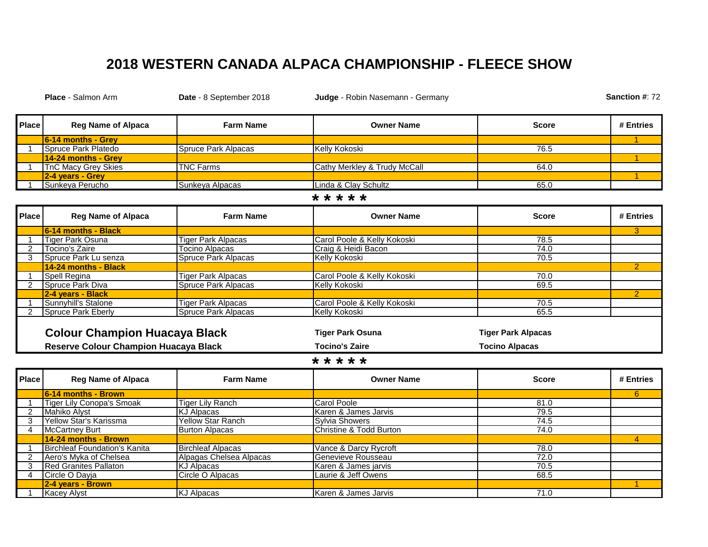## **2018 WESTERN CANADA ALPACA CHAMPIONSHIP - FLEECE SHOW**

**Place** - Salmon Arm **Date** - 8 September 2018 **Judge** - Robin Nasemann - Germany **Place Reg Name of Alpaca Farm Name Owner Name Score # Entries 6-14 months - Grey** 1 1 Spruce Park Platedo Spruce Park Alpacas Kelly Kokoski Spruce Park Alpacas Spruce Park Alpacas (Kelly Kokoski **14-24 months - Grey** 1 1 TnC Macy Grey Skies TNC Farms Cathy Merkley & Trudy McCall 1 TnC Macy G4.0 **2-4 years - Grey** 1 1 Sunkeya Perucho Sunkeya Alpacas Linda & Clay Schultz 65.0 **Place Reg Name of Alpaca Farm Name Owner Name Score # Entries 6-14 months - Black** 3 1 Tiger Park Osuna Tiger Park Alpacas Carol Poole & Kelly Kokoski 2 Tocino's Zaire Tocino Alpacas Craig & Heidi Bacon 74.0 3 Spruce Park Lu senza Spruce Park Alpacas **14-24 months - Black 2 and 2 and 2 and 2 and 2 and 2 and 2 and 2 and 2 and 2 and 2 and 2 and 2 and 2 and 2 and 2 and 2 and 2 and 2 and 2 and 2 and 2 and 2 and 2 and 2 and 2 and 2 and 2 and 2 and 2 and 2 and 2 and 2 and 2** 1 Spell Regina **Tiger Park Alpacas** Carol Poole & Kelly Kokoski **70.000 Carol Poole & Kelly Kokoski** 2 Spruce Park Diva Spruce Park Alpacas Kelly Kokoski Spruce Park Alpacas (Kelly Kokoski Spruce Park Alpacas Spruce Park Alpacas Spruce Park Alpacas (Spruce Park Alpacas Spruce Park Alpacas Spruce Park Alpacas Spruce Park A **2-4 years - Black** 2 1 Sunnyhill's Stalone Tiger Park Alpacas Carol Poole & Kelly Kokoski 70.5 2 Spruce Park Eberly Spruce Park Alpacas Kelly Kokoski Spruce Park Alpacas (65.5 **Colour Champion Huacaya Black Tiger Park Osuna Tiger Park Alpacas Reserve Colour Champion Huacaya Black Tocino's Zaire Tocino Alpacas Place Reg Name of Alpaca Farm Name Owner Name Score # Entries 6-14 months - Brown** 6 1 Tiger Lily Conopa's Smoak Tiger Lily Ranch Carol Poole Carol Poole (1999) 2 Mahiko Alyst (1995)<br>2 Mahiko Alyst (1995) 2 Mahiko Alyst (1995) 2 Mahiko Alyst (1995) 2 Mahiko Alyst (1995) 2 Mahiko Alyst (1995) Karen & James Jarvis 3 Yellow Star's Karissma Yellow Star Ranch Sylvia Showers 74.5 4 McCartney Burt **Burton Alpacas** Christine & Todd Burton **Christine & Todd Burton** 1, 24.0 <u>**14-24 months - Brown Contract Contract Contract Contract Contract Contract Contract Contract Contract Contract Contract Contract Contract Contract Contract Contract Contract Contract Contract Contract Contract Contract C</u>** 1 Birchleaf Foundation's Kanita Birchleaf Alpacas Vance & Darcy Rycroft **\* \* \* \* \* Sanction #**: 72 **\* \* \* \* \***

**2-4 years - Brown** 1

2 Aero's Myka of Chelsea **Alpagas Chelsea Alpacas** Genevieve Rousseau **Alpacas** 72.0 3 Red Granites Pallaton KJ Alpacas Karen & James jarvis 70.5 4 Circle O Dayja Circle O Alpacas Laurie & Jeff Owens 68.5

**1 Kacey Alyst Construction Construction Construction Construction Construction Construction Construction Construction Construction Construction Construction Construction Construction Construction Construction Construction**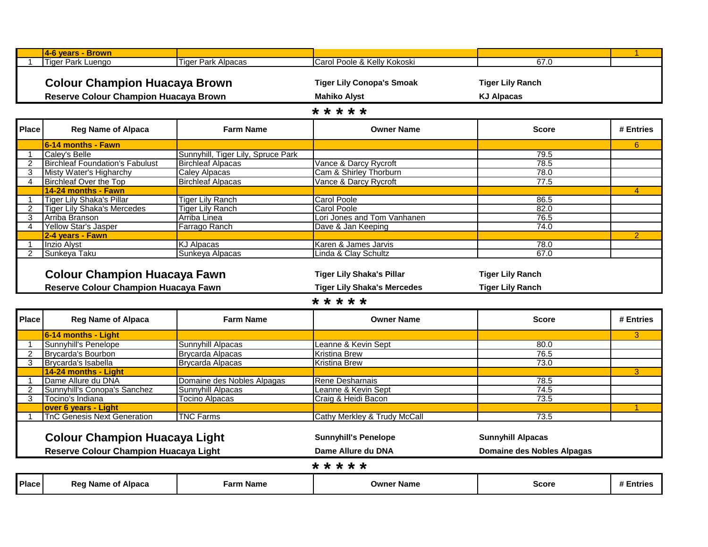|                | 4-6 years - Brown                                                                                   |                                    |                                              |                                   |               |  |  |  |  |
|----------------|-----------------------------------------------------------------------------------------------------|------------------------------------|----------------------------------------------|-----------------------------------|---------------|--|--|--|--|
|                | <b>Tiger Park Luengo</b>                                                                            | <b>Tiger Park Alpacas</b>          | Carol Poole & Kelly Kokoski                  | 67.0                              |               |  |  |  |  |
|                |                                                                                                     |                                    |                                              |                                   |               |  |  |  |  |
|                | <b>Colour Champion Huacaya Brown</b><br><b>Tiger Lily Conopa's Smoak</b><br><b>Tiger Lily Ranch</b> |                                    |                                              |                                   |               |  |  |  |  |
|                |                                                                                                     |                                    |                                              |                                   |               |  |  |  |  |
|                | Reserve Colour Champion Huacaya Brown                                                               |                                    | <b>Mahiko Alyst</b>                          | <b>KJ Alpacas</b>                 |               |  |  |  |  |
| * * * * *      |                                                                                                     |                                    |                                              |                                   |               |  |  |  |  |
| <b>Place</b>   | <b>Reg Name of Alpaca</b>                                                                           | <b>Farm Name</b>                   | <b>Owner Name</b>                            | <b>Score</b>                      | # Entries     |  |  |  |  |
|                | 6-14 months - Fawn                                                                                  |                                    |                                              |                                   | 6             |  |  |  |  |
|                | Caley's Belle                                                                                       | Sunnyhill, Tiger Lily, Spruce Park |                                              | 79.5                              |               |  |  |  |  |
| 2              | <b>Birchleaf Foundation's Fabulust</b>                                                              | <b>Birchleaf Alpacas</b>           | Vance & Darcy Rycroft                        | 78.5                              |               |  |  |  |  |
| 3              | Misty Water's Higharchy                                                                             | <b>Caley Alpacas</b>               | Cam & Shirley Thorburn                       | 78.0                              |               |  |  |  |  |
| 4              | <b>Birchleaf Over the Top</b>                                                                       | <b>Birchleaf Alpacas</b>           | Vance & Darcy Rycroft                        | 77.5                              |               |  |  |  |  |
|                | 14-24 months - Fawn                                                                                 |                                    |                                              |                                   | 4             |  |  |  |  |
|                | <b>Tiger Lily Shaka's Pillar</b>                                                                    | <b>Tiger Lily Ranch</b>            | <b>Carol Poole</b>                           | 86.5                              |               |  |  |  |  |
| $\overline{2}$ | <b>Tiger Lily Shaka's Mercedes</b>                                                                  | <b>Tiger Lily Ranch</b>            | <b>Carol Poole</b>                           | 82.0                              |               |  |  |  |  |
| 3              | Arriba Branson                                                                                      | Arriba Linea                       | Lori Jones and Tom Vanhanen                  | 76.5                              |               |  |  |  |  |
| 4              | Yellow Star's Jasper                                                                                | Farrago Ranch                      | Dave & Jan Keeping                           | 74.0                              |               |  |  |  |  |
|                | 2-4 years - Fawn                                                                                    |                                    |                                              |                                   | $\mathcal{P}$ |  |  |  |  |
|                | Inzio Alyst                                                                                         | <b>KJ Alpacas</b>                  | Karen & James Jarvis                         | 78.0                              |               |  |  |  |  |
| 2              | Sunkeya Taku                                                                                        | Sunkeya Alpacas                    | Linda & Clay Schultz                         | 67.0                              |               |  |  |  |  |
|                |                                                                                                     |                                    |                                              |                                   |               |  |  |  |  |
|                | <b>Colour Champion Huacaya Fawn</b>                                                                 |                                    | <b>Tiger Lily Shaka's Pillar</b>             | <b>Tiger Lily Ranch</b>           |               |  |  |  |  |
|                | Reserve Colour Champion Huacaya Fawn                                                                |                                    | <b>Tiger Lily Shaka's Mercedes</b>           | <b>Tiger Lily Ranch</b>           |               |  |  |  |  |
|                |                                                                                                     |                                    | * * * * *                                    |                                   |               |  |  |  |  |
| <b>Place</b>   | <b>Reg Name of Alpaca</b>                                                                           | <b>Farm Name</b>                   | <b>Owner Name</b>                            | <b>Score</b>                      | # Entries     |  |  |  |  |
|                |                                                                                                     |                                    |                                              |                                   | 3             |  |  |  |  |
|                | 6-14 months - Light                                                                                 |                                    |                                              | 80.0                              |               |  |  |  |  |
| 2              | Sunnyhill's Penelope                                                                                | Sunnyhill Alpacas                  | Leanne & Kevin Sept                          | 76.5                              |               |  |  |  |  |
| 3              | <b>Brycarda's Bourbon</b>                                                                           | <b>Brycarda Alpacas</b>            | <b>Kristina Brew</b><br><b>Kristina Brew</b> | 73.0                              |               |  |  |  |  |
|                | Brycarda's Isabella                                                                                 | <b>Brycarda Alpacas</b>            |                                              |                                   | 3             |  |  |  |  |
|                | 14-24 months - Light<br>Dame Allure du DNA                                                          | Domaine des Nobles Alpagas         | Rene Desharnais                              | 78.5                              |               |  |  |  |  |
| 2              | Sunnyhill's Conopa's Sanchez                                                                        | Sunnyhill Alpacas                  | Leanne & Kevin Sept                          | 74.5                              |               |  |  |  |  |
| 3              | Tocino's Indiana                                                                                    | <b>Tocino Alpacas</b>              | Craig & Heidi Bacon                          | 73.5                              |               |  |  |  |  |
|                | over 6 years - Light                                                                                |                                    |                                              |                                   |               |  |  |  |  |
|                | <b>TnC Genesis Next Generation</b>                                                                  | <b>TNC Farms</b>                   | Cathy Merkley & Trudy McCall                 | 73.5                              |               |  |  |  |  |
|                |                                                                                                     |                                    |                                              |                                   |               |  |  |  |  |
|                |                                                                                                     |                                    | <b>Sunnyhill's Penelope</b>                  | <b>Sunnyhill Alpacas</b>          |               |  |  |  |  |
|                | <b>Colour Champion Huacaya Light</b>                                                                |                                    |                                              |                                   |               |  |  |  |  |
|                | Reserve Colour Champion Huacaya Light                                                               |                                    | Dame Allure du DNA                           | <b>Domaine des Nobles Alpagas</b> |               |  |  |  |  |
| <b>Place</b>   | <b>Reg Name of Alpaca</b>                                                                           |                                    | * * * * *                                    |                                   |               |  |  |  |  |